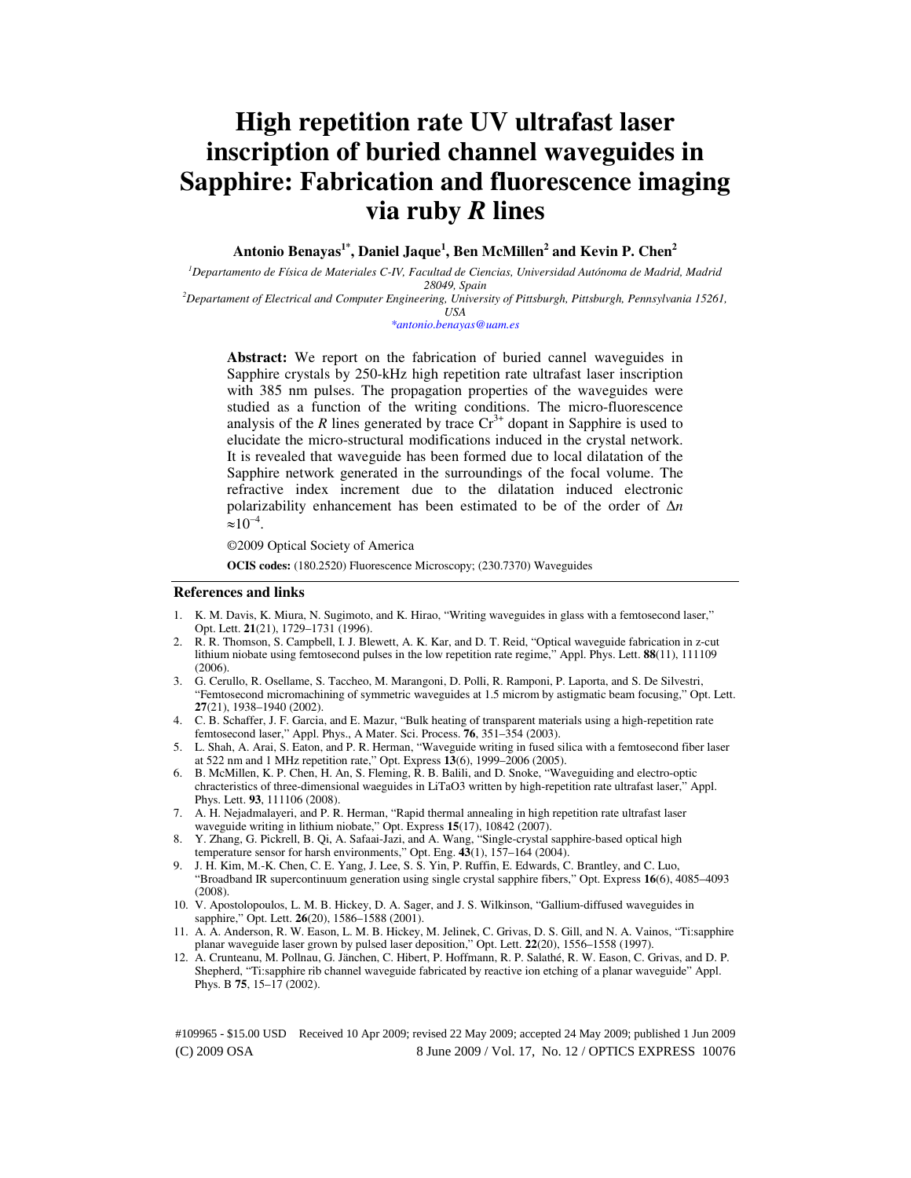# **High repetition rate UV ultrafast laser inscription of buried channel waveguides in Sapphire: Fabrication and fluorescence imaging via ruby** *R* **lines**

**Antonio Benayas1\*, Daniel Jaque<sup>1</sup> , Ben McMillen<sup>2</sup> and Kevin P. Chen<sup>2</sup>**

*<sup>1</sup>Departamento de Física de Materiales C-IV, Facultad de Ciencias, Universidad Autónoma de Madrid, Madrid 28049, Spain* 

*<sup>2</sup>Departament of Electrical and Computer Engineering, University of Pittsburgh, Pittsburgh, Pennsylvania 15261, USA* 

*\*antonio.benayas@uam.es* 

**Abstract:** We report on the fabrication of buried cannel waveguides in Sapphire crystals by 250-kHz high repetition rate ultrafast laser inscription with 385 nm pulses. The propagation properties of the waveguides were studied as a function of the writing conditions. The micro-fluorescence analysis of the  $R$  lines generated by trace  $Cr^{3+}$  dopant in Sapphire is used to elucidate the micro-structural modifications induced in the crystal network. It is revealed that waveguide has been formed due to local dilatation of the Sapphire network generated in the surroundings of the focal volume. The refractive index increment due to the dilatation induced electronic polarizability enhancement has been estimated to be of the order of ∆*n*  $\approx 10^{-4}$ .

©2009 Optical Society of America

**OCIS codes:** (180.2520) Fluorescence Microscopy; (230.7370) Waveguides

#### **References and links**

- 1. K. M. Davis, K. Miura, N. Sugimoto, and K. Hirao, "Writing waveguides in glass with a femtosecond laser," Opt. Lett. **21**(21), 1729–1731 (1996).
- 2. R. R. Thomson, S. Campbell, I. J. Blewett, A. K. Kar, and D. T. Reid, "Optical waveguide fabrication in z-cut lithium niobate using femtosecond pulses in the low repetition rate regime," Appl. Phys. Lett. **88**(11), 111109  $(2006)$
- 3. G. Cerullo, R. Osellame, S. Taccheo, M. Marangoni, D. Polli, R. Ramponi, P. Laporta, and S. De Silvestri, "Femtosecond micromachining of symmetric waveguides at 1.5 microm by astigmatic beam focusing," Opt. Lett. **27**(21), 1938–1940 (2002).
- 4. C. B. Schaffer, J. F. Garcia, and E. Mazur, "Bulk heating of transparent materials using a high-repetition rate femtosecond laser," Appl. Phys., A Mater. Sci. Process. **76**, 351–354 (2003).
- 5. L. Shah, A. Arai, S. Eaton, and P. R. Herman, "Waveguide writing in fused silica with a femtosecond fiber laser at 522 nm and 1 MHz repetition rate," Opt. Express **13**(6), 1999–2006 (2005).
- 6. B. McMillen, K. P. Chen, H. An, S. Fleming, R. B. Balili, and D. Snoke, "Waveguiding and electro-optic chracteristics of three-dimensional waeguides in LiTaO3 written by high-repetition rate ultrafast laser," Appl. Phys. Lett. **93**, 111106 (2008).
- 7. A. H. Nejadmalayeri, and P. R. Herman, "Rapid thermal annealing in high repetition rate ultrafast laser waveguide writing in lithium niobate," Opt. Express **15**(17), 10842 (2007).
- 8. Y. Zhang, G. Pickrell, B. Qi, A. Safaai-Jazi, and A. Wang, "Single-crystal sapphire-based optical high temperature sensor for harsh environments," Opt. Eng. **43**(1), 157–164 (2004).
- 9. J. H. Kim, M.-K. Chen, C. E. Yang, J. Lee, S. S. Yin, P. Ruffin, E. Edwards, C. Brantley, and C. Luo, "Broadband IR supercontinuum generation using single crystal sapphire fibers," Opt. Express **16**(6), 4085–4093 (2008).
- 10. V. Apostolopoulos, L. M. B. Hickey, D. A. Sager, and J. S. Wilkinson, "Gallium-diffused waveguides in sapphire," Opt. Lett. **26**(20), 1586–1588 (2001).
- 11. A. A. Anderson, R. W. Eason, L. M. B. Hickey, M. Jelinek, C. Grivas, D. S. Gill, and N. A. Vainos, "Ti:sapphire planar waveguide laser grown by pulsed laser deposition," Opt. Lett. **22**(20), 1556–1558 (1997).
- 12. A. Crunteanu, M. Pollnau, G. Jänchen, C. Hibert, P. Hoffmann, R. P. Salathé, R. W. Eason, C. Grivas, and D. P. Shepherd, "Ti:sapphire rib channel waveguide fabricated by reactive ion etching of a planar waveguide" Appl. Phys. B **75**, 15–17 (2002).

(C) 2009 OSA 8 June 2009 / Vol. 17, No. 12 / OPTICS EXPRESS 10076 #109965 - \$15.00 USD Received 10 Apr 2009; revised 22 May 2009; accepted 24 May 2009; published 1 Jun 2009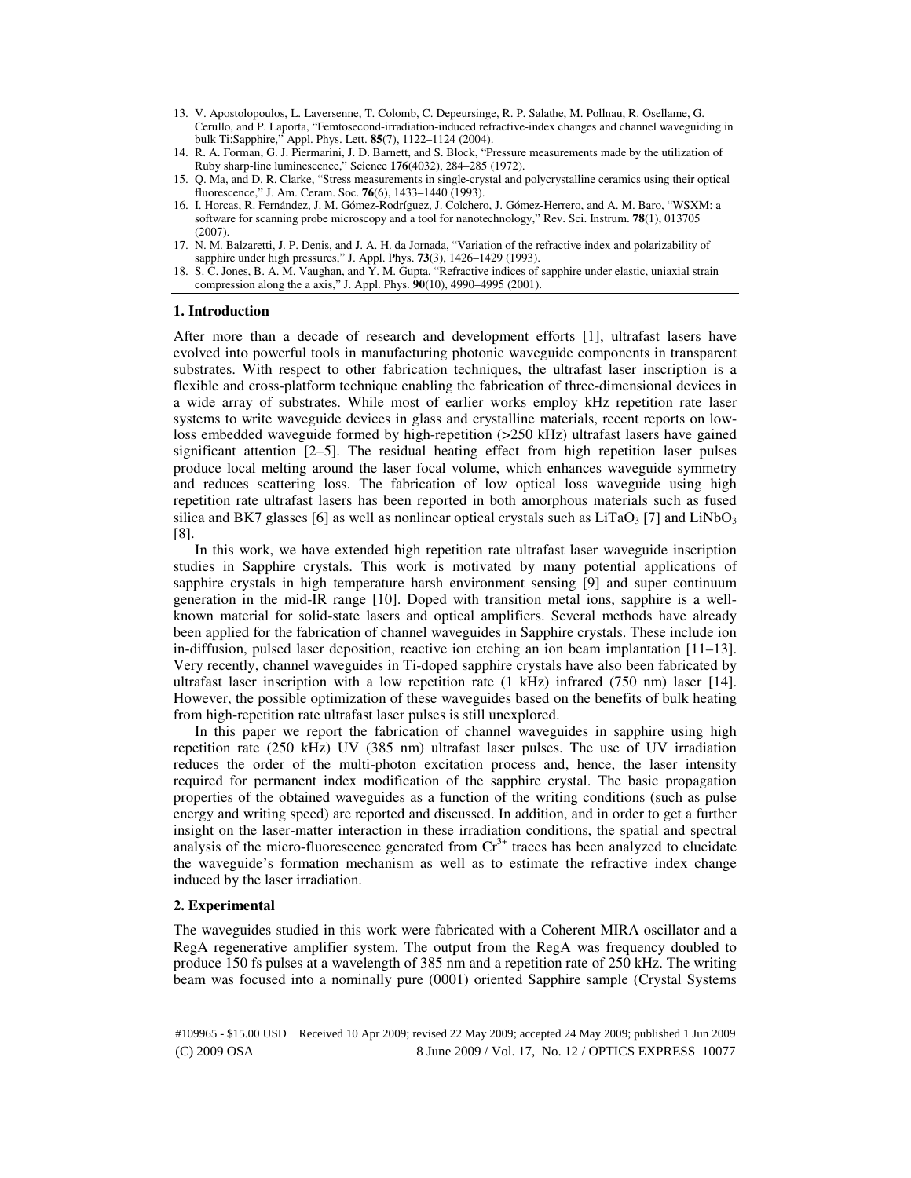- 13. V. Apostolopoulos, L. Laversenne, T. Colomb, C. Depeursinge, R. P. Salathe, M. Pollnau, R. Osellame, G. Cerullo, and P. Laporta, "Femtosecond-irradiation-induced refractive-index changes and channel waveguiding in bulk Ti:Sapphire," Appl. Phys. Lett. **85**(7), 1122–1124 (2004).
- 14. R. A. Forman, G. J. Piermarini, J. D. Barnett, and S. Block, "Pressure measurements made by the utilization of Ruby sharp-line luminescence," Science **176**(4032), 284–285 (1972).
- 15. Q. Ma, and D. R. Clarke, "Stress measurements in single-crystal and polycrystalline ceramics using their optical fluorescence," J. Am. Ceram. Soc. **76**(6), 1433–1440 (1993).
- 16. I. Horcas, R. Fernández, J. M. Gómez-Rodríguez, J. Colchero, J. Gómez-Herrero, and A. M. Baro, "WSXM: a software for scanning probe microscopy and a tool for nanotechnology," Rev. Sci. Instrum. **78**(1), 013705 (2007).
- 17. N. M. Balzaretti, J. P. Denis, and J. A. H. da Jornada, "Variation of the refractive index and polarizability of sapphire under high pressures," J. Appl. Phys. **73**(3), 1426–1429 (1993).
- 18. S. C. Jones, B. A. M. Vaughan, and Y. M. Gupta, "Refractive indices of sapphire under elastic, uniaxial strain compression along the a axis," J. Appl. Phys. **90**(10), 4990–4995 (2001).

### **1. Introduction**

After more than a decade of research and development efforts [1], ultrafast lasers have evolved into powerful tools in manufacturing photonic waveguide components in transparent substrates. With respect to other fabrication techniques, the ultrafast laser inscription is a flexible and cross-platform technique enabling the fabrication of three-dimensional devices in a wide array of substrates. While most of earlier works employ kHz repetition rate laser systems to write waveguide devices in glass and crystalline materials, recent reports on lowloss embedded waveguide formed by high-repetition (>250 kHz) ultrafast lasers have gained significant attention [2–5]. The residual heating effect from high repetition laser pulses produce local melting around the laser focal volume, which enhances waveguide symmetry and reduces scattering loss. The fabrication of low optical loss waveguide using high repetition rate ultrafast lasers has been reported in both amorphous materials such as fused silica and BK7 glasses [6] as well as nonlinear optical crystals such as  $LiTaO<sub>3</sub>$  [7] and  $LiNbO<sub>3</sub>$ [8].

In this work, we have extended high repetition rate ultrafast laser waveguide inscription studies in Sapphire crystals. This work is motivated by many potential applications of sapphire crystals in high temperature harsh environment sensing [9] and super continuum generation in the mid-IR range [10]. Doped with transition metal ions, sapphire is a wellknown material for solid-state lasers and optical amplifiers. Several methods have already been applied for the fabrication of channel waveguides in Sapphire crystals. These include ion in-diffusion, pulsed laser deposition, reactive ion etching an ion beam implantation [11–13]. Very recently, channel waveguides in Ti-doped sapphire crystals have also been fabricated by ultrafast laser inscription with a low repetition rate (1 kHz) infrared (750 nm) laser [14]. However, the possible optimization of these waveguides based on the benefits of bulk heating from high-repetition rate ultrafast laser pulses is still unexplored.

In this paper we report the fabrication of channel waveguides in sapphire using high repetition rate (250 kHz) UV (385 nm) ultrafast laser pulses. The use of UV irradiation reduces the order of the multi-photon excitation process and, hence, the laser intensity required for permanent index modification of the sapphire crystal. The basic propagation properties of the obtained waveguides as a function of the writing conditions (such as pulse energy and writing speed) are reported and discussed. In addition, and in order to get a further insight on the laser-matter interaction in these irradiation conditions, the spatial and spectral analysis of the micro-fluorescence generated from  $Cr<sup>3+</sup>$  traces has been analyzed to elucidate the waveguide's formation mechanism as well as to estimate the refractive index change induced by the laser irradiation.

### **2. Experimental**

The waveguides studied in this work were fabricated with a Coherent MIRA oscillator and a RegA regenerative amplifier system. The output from the RegA was frequency doubled to produce 150 fs pulses at a wavelength of 385 nm and a repetition rate of 250 kHz. The writing beam was focused into a nominally pure (0001) oriented Sapphire sample (Crystal Systems

(C) 2009 OSA 8 June 2009 / Vol. 17, No. 12 / OPTICS EXPRESS 10077 #109965 - \$15.00 USD Received 10 Apr 2009; revised 22 May 2009; accepted 24 May 2009; published 1 Jun 2009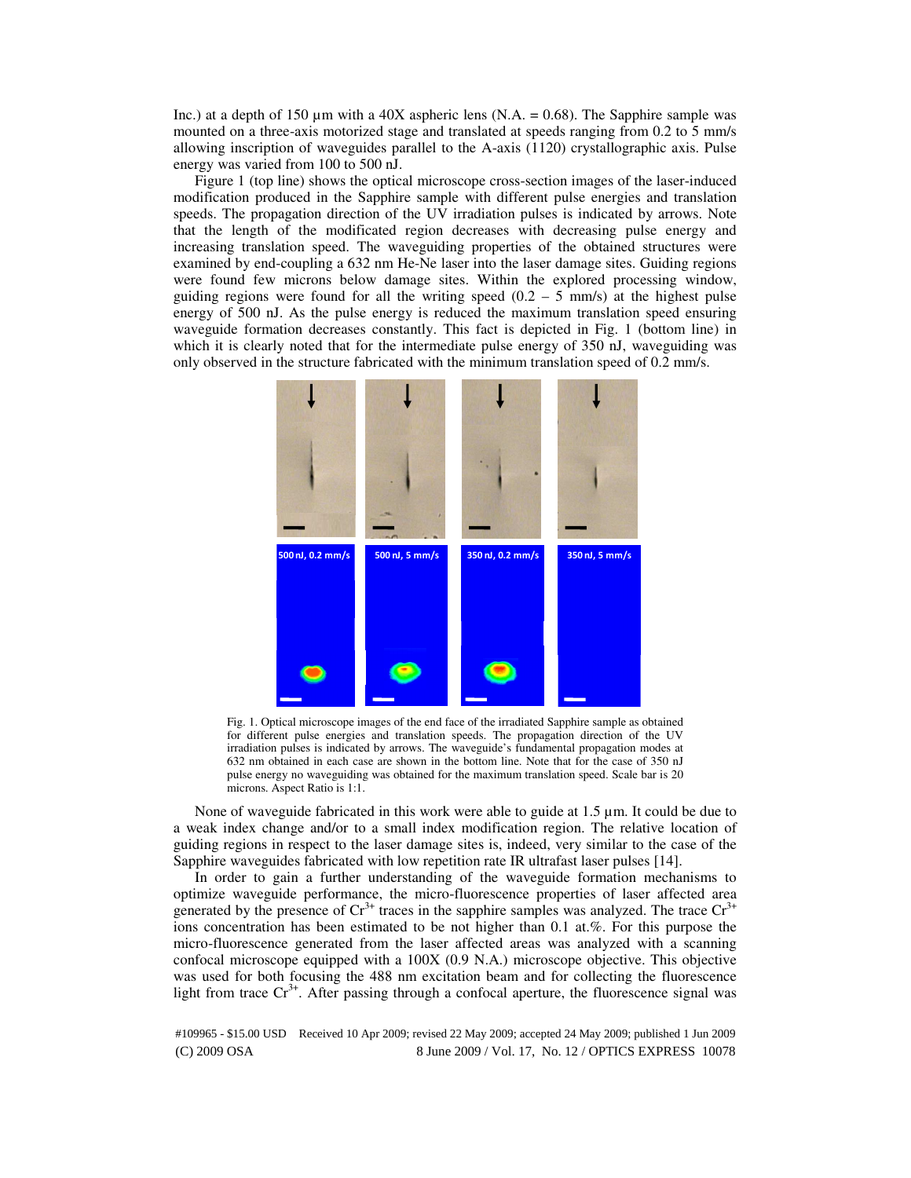Inc.) at a depth of 150  $\mu$ m with a 40X aspheric lens (N.A. = 0.68). The Sapphire sample was mounted on a three-axis motorized stage and translated at speeds ranging from 0.2 to 5 mm/s allowing inscription of waveguides parallel to the A-axis (1120) crystallographic axis. Pulse energy was varied from 100 to 500 nJ.

Figure 1 (top line) shows the optical microscope cross-section images of the laser-induced modification produced in the Sapphire sample with different pulse energies and translation speeds. The propagation direction of the UV irradiation pulses is indicated by arrows. Note that the length of the modificated region decreases with decreasing pulse energy and increasing translation speed. The waveguiding properties of the obtained structures were examined by end-coupling a 632 nm He-Ne laser into the laser damage sites. Guiding regions were found few microns below damage sites. Within the explored processing window, guiding regions were found for all the writing speed  $(0.2 - 5 \text{ mm/s})$  at the highest pulse energy of 500 nJ. As the pulse energy is reduced the maximum translation speed ensuring waveguide formation decreases constantly. This fact is depicted in Fig. 1 (bottom line) in which it is clearly noted that for the intermediate pulse energy of 350 nJ, waveguiding was only observed in the structure fabricated with the minimum translation speed of 0.2 mm/s.



Fig. 1. Optical microscope images of the end face of the irradiated Sapphire sample as obtained for different pulse energies and translation speeds. The propagation direction of the UV irradiation pulses is indicated by arrows. The waveguide's fundamental propagation modes at 632 nm obtained in each case are shown in the bottom line. Note that for the case of 350 nJ pulse energy no waveguiding was obtained for the maximum translation speed. Scale bar is 20 microns. Aspect Ratio is 1:1.

None of waveguide fabricated in this work were able to guide at 1.5 µm. It could be due to a weak index change and/or to a small index modification region. The relative location of guiding regions in respect to the laser damage sites is, indeed, very similar to the case of the Sapphire waveguides fabricated with low repetition rate IR ultrafast laser pulses [14].

In order to gain a further understanding of the waveguide formation mechanisms to optimize waveguide performance, the micro-fluorescence properties of laser affected area generated by the presence of  $Cr^{3+}$  traces in the sapphire samples was analyzed. The trace  $Cr^{3+}$ ions concentration has been estimated to be not higher than 0.1 at.%. For this purpose the micro-fluorescence generated from the laser affected areas was analyzed with a scanning confocal microscope equipped with a 100X (0.9 N.A.) microscope objective. This objective was used for both focusing the 488 nm excitation beam and for collecting the fluorescence light from trace  $Cr^{3+}$ . After passing through a confocal aperture, the fluorescence signal was

(C) 2009 OSA 8 June 2009 / Vol. 17, No. 12 / OPTICS EXPRESS 10078 #109965 - \$15.00 USD Received 10 Apr 2009; revised 22 May 2009; accepted 24 May 2009; published 1 Jun 2009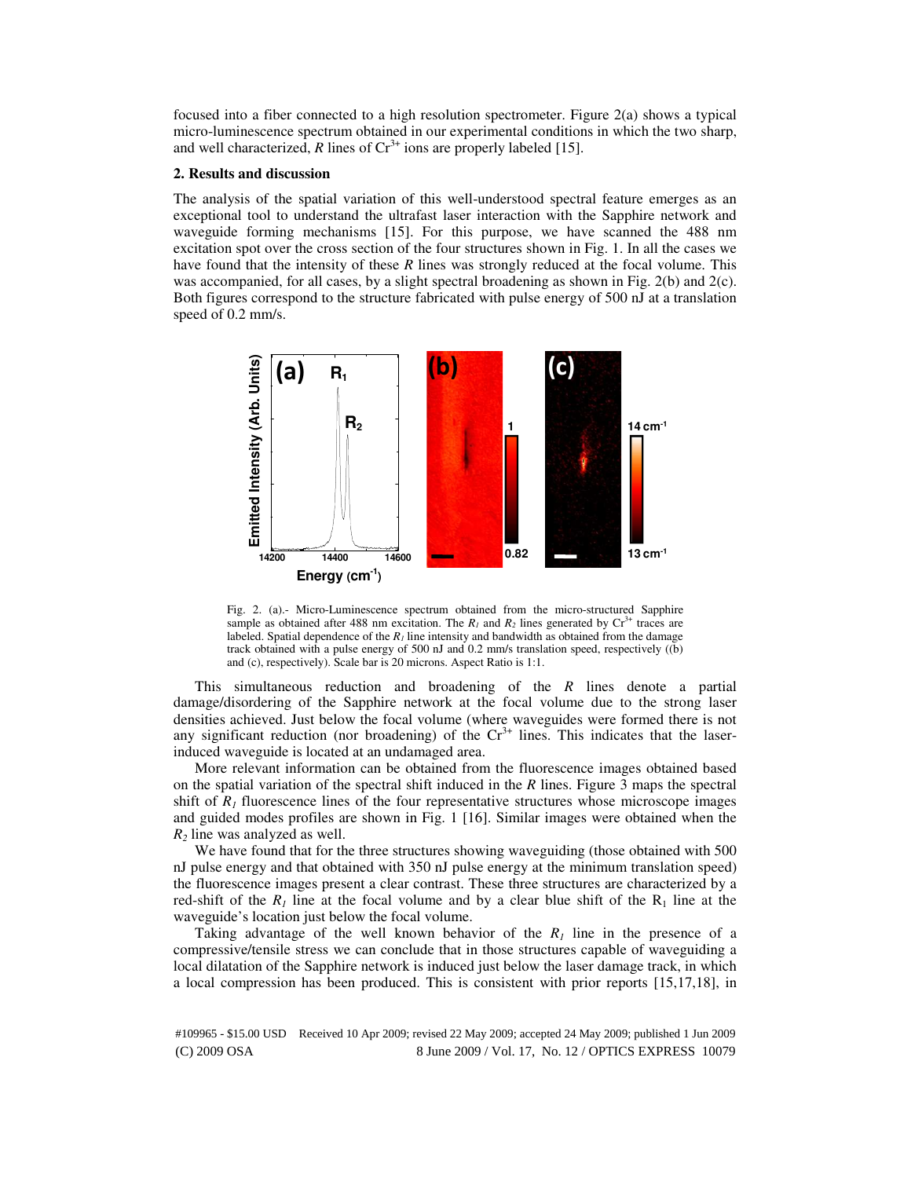focused into a fiber connected to a high resolution spectrometer. Figure 2(a) shows a typical micro-luminescence spectrum obtained in our experimental conditions in which the two sharp, and well characterized, *R* lines of  $Cr^{3+}$  ions are properly labeled [15].

### **2. Results and discussion**

The analysis of the spatial variation of this well-understood spectral feature emerges as an exceptional tool to understand the ultrafast laser interaction with the Sapphire network and waveguide forming mechanisms [15]. For this purpose, we have scanned the 488 nm excitation spot over the cross section of the four structures shown in Fig. 1. In all the cases we have found that the intensity of these *R* lines was strongly reduced at the focal volume. This was accompanied, for all cases, by a slight spectral broadening as shown in Fig. 2(b) and 2(c). Both figures correspond to the structure fabricated with pulse energy of 500 nJ at a translation speed of 0.2 mm/s.



Fig. 2. (a).- Micro-Luminescence spectrum obtained from the micro-structured Sapphire sample as obtained after 488 nm excitation. The  $R_I$  and  $R_2$  lines generated by  $Cr^{3+}$  traces are labeled. Spatial dependence of the  $R<sub>I</sub>$  line intensity and bandwidth as obtained from the damage track obtained with a pulse energy of 500 nJ and 0.2 mm/s translation speed, respectively ((b) and (c), respectively). Scale bar is 20 microns. Aspect Ratio is 1:1.

This simultaneous reduction and broadening of the *R* lines denote a partial damage/disordering of the Sapphire network at the focal volume due to the strong laser densities achieved. Just below the focal volume (where waveguides were formed there is not any significant reduction (nor broadening) of the  $Cr<sup>3+</sup>$  lines. This indicates that the laserinduced waveguide is located at an undamaged area.

More relevant information can be obtained from the fluorescence images obtained based on the spatial variation of the spectral shift induced in the *R* lines. Figure 3 maps the spectral shift of  $R<sub>1</sub>$  fluorescence lines of the four representative structures whose microscope images and guided modes profiles are shown in Fig. 1 [16]. Similar images were obtained when the *R2* line was analyzed as well.

We have found that for the three structures showing waveguiding (those obtained with 500 nJ pulse energy and that obtained with 350 nJ pulse energy at the minimum translation speed) the fluorescence images present a clear contrast. These three structures are characterized by a red-shift of the  $R_1$  line at the focal volume and by a clear blue shift of the  $R_1$  line at the waveguide's location just below the focal volume.

Taking advantage of the well known behavior of the  $R<sub>1</sub>$  line in the presence of a compressive/tensile stress we can conclude that in those structures capable of waveguiding a local dilatation of the Sapphire network is induced just below the laser damage track, in which a local compression has been produced. This is consistent with prior reports [15,17,18], in

(C) 2009 OSA 8 June 2009 / Vol. 17, No. 12 / OPTICS EXPRESS 10079 #109965 - \$15.00 USD Received 10 Apr 2009; revised 22 May 2009; accepted 24 May 2009; published 1 Jun 2009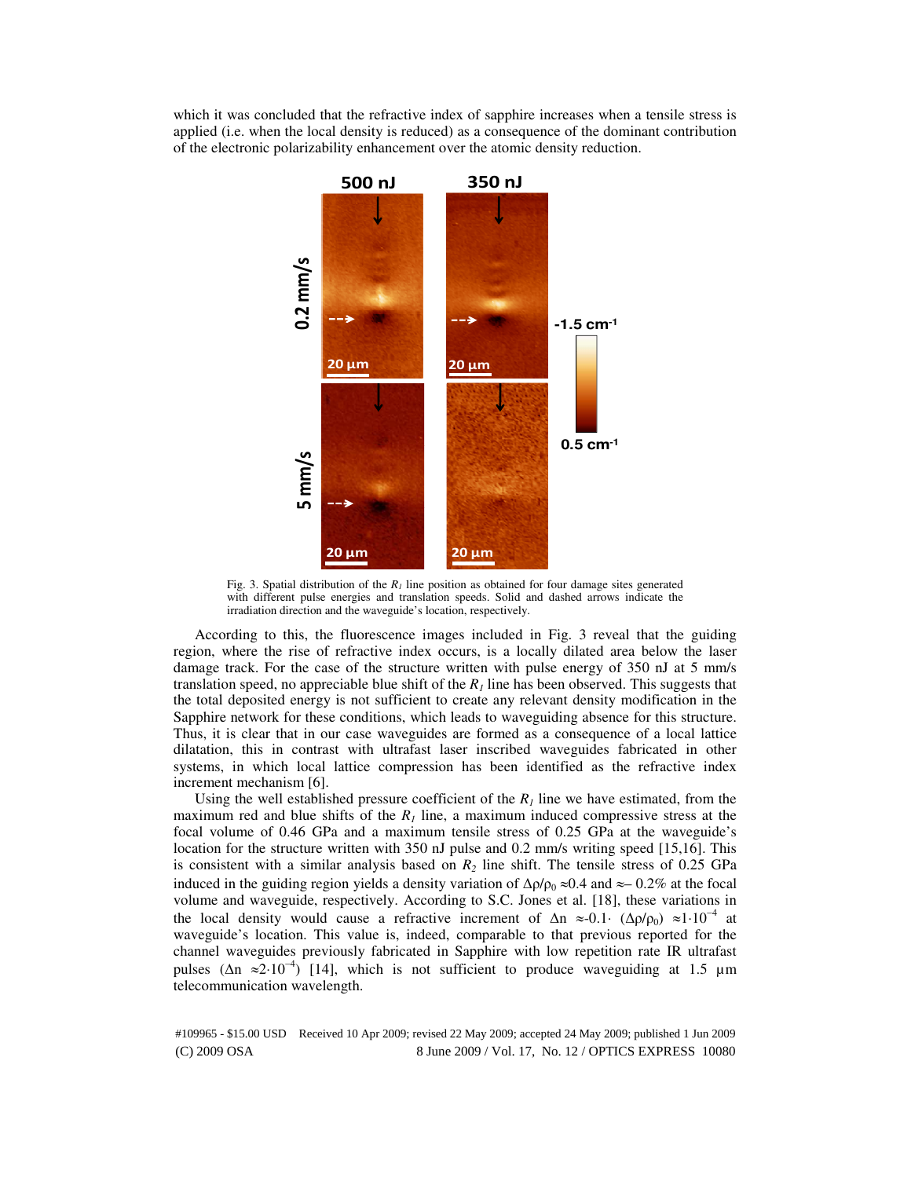which it was concluded that the refractive index of sapphire increases when a tensile stress is applied (i.e. when the local density is reduced) as a consequence of the dominant contribution of the electronic polarizability enhancement over the atomic density reduction.



Fig. 3. Spatial distribution of the  $R<sub>1</sub>$  line position as obtained for four damage sites generated with different pulse energies and translation speeds. Solid and dashed arrows indicate the irradiation direction and the waveguide's location, respectively.

According to this, the fluorescence images included in Fig. 3 reveal that the guiding region, where the rise of refractive index occurs, is a locally dilated area below the laser damage track. For the case of the structure written with pulse energy of 350 nJ at 5 mm/s translation speed, no appreciable blue shift of the  $R<sub>I</sub>$  line has been observed. This suggests that the total deposited energy is not sufficient to create any relevant density modification in the Sapphire network for these conditions, which leads to waveguiding absence for this structure. Thus, it is clear that in our case waveguides are formed as a consequence of a local lattice dilatation, this in contrast with ultrafast laser inscribed waveguides fabricated in other systems, in which local lattice compression has been identified as the refractive index increment mechanism [6].

Using the well established pressure coefficient of the  $R<sub>I</sub>$  line we have estimated, from the maximum red and blue shifts of the  $R<sub>1</sub>$  line, a maximum induced compressive stress at the focal volume of 0.46 GPa and a maximum tensile stress of 0.25 GPa at the waveguide's location for the structure written with 350 nJ pulse and 0.2 mm/s writing speed [15,16]. This is consistent with a similar analysis based on  $R_2$  line shift. The tensile stress of 0.25 GPa induced in the guiding region yields a density variation of  $\Delta \rho / \rho_0 \approx 0.4$  and ≈– 0.2% at the focal volume and waveguide, respectively. According to S.C. Jones et al. [18], these variations in the local density would cause a refractive increment of  $\Delta n \approx 0.1 \cdot (\Delta \rho/\rho_0) \approx 1 \cdot 10^{-4}$  at waveguide's location. This value is, indeed, comparable to that previous reported for the channel waveguides previously fabricated in Sapphire with low repetition rate IR ultrafast pulses ( $\Delta n \approx 2.10^{-4}$ ) [14], which is not sufficient to produce waveguiding at 1.5 µm telecommunication wavelength.

(C) 2009 OSA 8 June 2009 / Vol. 17, No. 12 / OPTICS EXPRESS 10080 #109965 - \$15.00 USD Received 10 Apr 2009; revised 22 May 2009; accepted 24 May 2009; published 1 Jun 2009